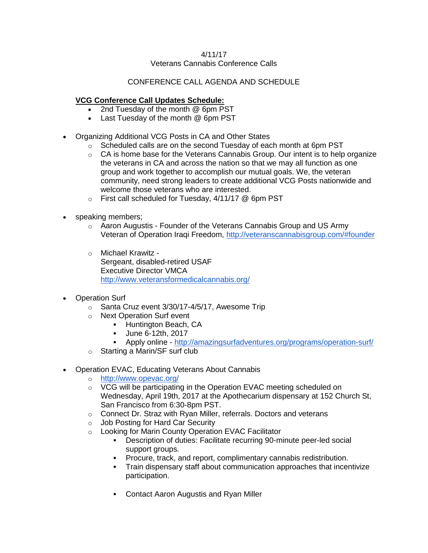### 4/11/17 Veterans Cannabis Conference Calls

# CONFERENCE CALL AGENDA AND SCHEDULE

# **VCG Conference Call Updates Schedule:**

- 2nd Tuesday of the month @ 6pm PST
- Last Tuesday of the month @ 6pm PST
- Organizing Additional VCG Posts in CA and Other States
	- $\circ$  Scheduled calls are on the second Tuesday of each month at 6pm PST
	- $\circ$  CA is home base for the Veterans Cannabis Group. Our intent is to help organize the veterans in CA and across the nation so that we may all function as one group and work together to accomplish our mutual goals. We, the veteran community, need strong leaders to create additional VCG Posts nationwide and welcome those veterans who are interested.
	- o First call scheduled for Tuesday, 4/11/17 @ 6pm PST
- speaking members;
	- $\circ$  Aaron Augustis Founder of the Veterans Cannabis Group and US Army Veteran of Operation Iraqi Freedom,<http://veteranscannabisgroup.com/#founder>
	- o Michael Krawitz Sergeant, disabled-retired USAF Executive Director VMCA <http://www.veteransformedicalcannabis.org/>
- Operation Surf
	- o Santa Cruz event 3/30/17-4/5/17, Awesome Trip
	- o Next Operation Surf event
		- Huntington Beach, CA
		- June 6-12th, 2017
		- Apply online <http://amazingsurfadventures.org/programs/operation-surf/>
	- o Starting a Marin/SF surf club
- Operation EVAC, Educating Veterans About Cannabis
	- o <http://www.opevac.org/>
	- o VCG will be participating in the Operation EVAC meeting scheduled on Wednesday, April 19th, 2017 at the Apothecarium dispensary at 152 Church St, San Francisco from 6:30-8pm PST.
	- o Connect Dr. Straz with Ryan Miller, referrals. Doctors and veterans
	- o Job Posting for Hard Car Security
	- o Looking for Marin County Operation EVAC Facilitator
		- Description of duties: Facilitate recurring 90-minute peer-led social support groups.
		- Procure, track, and report, complimentary cannabis redistribution.
		- Train dispensary staff about communication approaches that incentivize participation.
		- Contact Aaron Augustis and Ryan Miller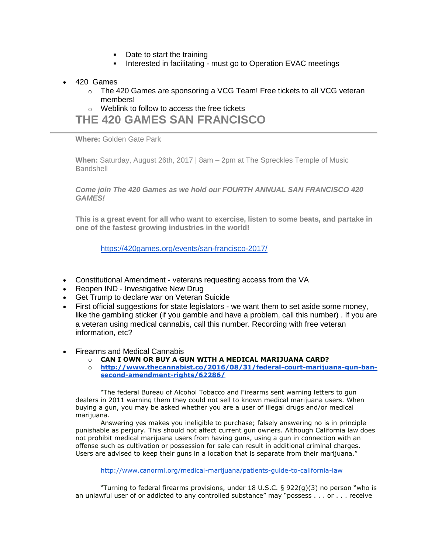- Date to start the training
- **EXECT** Interested in facilitating must go to Operation EVAC meetings
- 420 Games
	- $\circ$  The 420 Games are sponsoring a VCG Team! Free tickets to all VCG veteran members!

o Weblink to follow to access the free tickets

**THE 420 GAMES SAN FRANCISCO**

**Where:** Golden Gate Park

**When:** Saturday, August 26th, 2017 | 8am – 2pm at The Spreckles Temple of Music **Bandshell** 

*Come join The 420 Games as we hold our FOURTH ANNUAL SAN FRANCISCO 420 GAMES!*

**This is a great event for all who want to exercise, listen to some beats, and partake in one of the fastest growing industries in the world!**

<https://420games.org/events/san-francisco-2017/>

- Constitutional Amendment veterans requesting access from the VA
- Reopen IND Investigative New Drug
- Get Trump to declare war on Veteran Suicide
- First official suggestions for state legislators we want them to set aside some money, like the gambling sticker (if you gamble and have a problem, call this number) . If you are a veteran using medical cannabis, call this number. Recording with free veteran information, etc?
- Firearms and Medical Cannabis
	- o **CAN I OWN OR BUY A GUN WITH A MEDICAL MARIJUANA CARD?**
	- o **[http://www.thecannabist.co/2016/08/31/federal-court-marijuana-gun-ban](http://www.thecannabist.co/2016/08/31/federal-court-marijuana-gun-ban-second-amendment-rights/62286/)[second-amendment-rights/62286/](http://www.thecannabist.co/2016/08/31/federal-court-marijuana-gun-ban-second-amendment-rights/62286/)**

"The federal Bureau of Alcohol Tobacco and Firearms sent warning letters to gun dealers in 2011 warning them they could not sell to known medical marijuana users. When buying a gun, you may be asked whether you are a user of illegal drugs and/or medical marijuana.

Answering yes makes you ineligible to purchase; falsely answering no is in principle punishable as perjury. This should not affect current gun owners. Although California law does not prohibit medical marijuana users from having guns, using a gun in connection with an offense such as cultivation or possession for sale can result in additional criminal charges. Users are advised to keep their guns in a location that is separate from their marijuana."

<http://www.canorml.org/medical-marijuana/patients-guide-to-california-law>

"Turning to federal firearms provisions, under 18 U.S.C. § 922(g)(3) no person "who is an unlawful user of or addicted to any controlled substance" may "possess . . . or . . . receive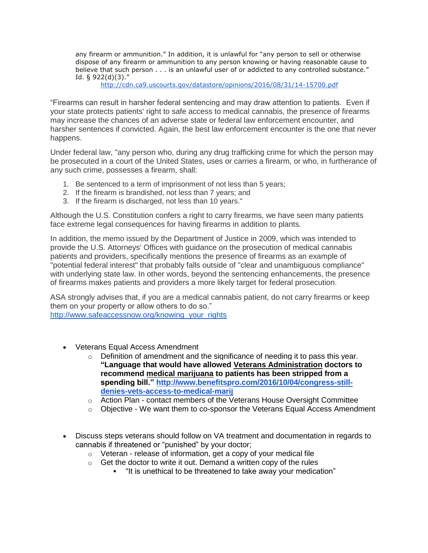any firearm or ammunition." In addition, it is unlawful for "any person to sell or otherwise dispose of any firearm or ammunition to any person knowing or having reasonable cause to believe that such person . . . is an unlawful user of or addicted to any controlled substance." Id. § 922(d)(3)."

<http://cdn.ca9.uscourts.gov/datastore/opinions/2016/08/31/14-15700.pdf>

"Firearms can result in harsher federal sentencing and may draw attention to patients. Even if your state protects patients' right to safe access to medical cannabis, the presence of firearms may increase the chances of an adverse state or federal law enforcement encounter, and harsher sentences if convicted. Again, the best law enforcement encounter is the one that never happens.

Under federal law, "any person who, during any drug trafficking crime for which the person may be prosecuted in a court of the United States, uses or carries a firearm, or who, in furtherance of any such crime, possesses a firearm, shall:

- 1. Be sentenced to a term of imprisonment of not less than 5 years;
- 2. If the firearm is brandished, not less than 7 years; and
- 3. If the firearm is discharged, not less than 10 years."

Although the U.S. Constitution confers a right to carry firearms, we have seen many patients face extreme legal consequences for having firearms in addition to plants.

In addition, the memo issued by the Department of Justice in 2009, which was intended to provide the U.S. Attorneys' Offices with guidance on the prosecution of medical cannabis patients and providers, specifically mentions the presence of firearms as an example of "potential federal interest" that probably falls outside of "clear and unambiguous compliance" with underlying state law. In other words, beyond the sentencing enhancements, the presence of firearms makes patients and providers a more likely target for federal prosecution.

ASA strongly advises that, if you are a medical cannabis patient, do not carry firearms or keep them on your property or allow others to do so." [http://www.safeaccessnow.org/knowing\\_your\\_rights](http://www.safeaccessnow.org/knowing_your_rights)

- Veterans Equal Access Amendment
	- $\circ$  Definition of amendment and the significance of needing it to pass this year. **"Language that would have allowed [Veterans Administration](http://www.benefitspro.com/2016/06/06/obama-says-no-to-va-privatization) doctors to recommend [medical marijuana](http://www.benefitspro.com/2016/07/19/medical-marijuana-saving-medicare-millions) to patients has been stripped from a spending bill." [http://www.benefitspro.com/2016/10/04/congress-still](http://www.benefitspro.com/2016/10/04/congress-still-denies-vets-access-to-medical-marij)[denies-vets-access-to-medical-marij](http://www.benefitspro.com/2016/10/04/congress-still-denies-vets-access-to-medical-marij)**
	- $\circ$  Action Plan contact members of the Veterans House Oversight Committee
	- $\circ$  Objective We want them to co-sponsor the Veterans Equal Access Amendment
- Discuss steps veterans should follow on VA treatment and documentation in regards to cannabis if threatened or "punished" by your doctor;
	- $\circ$  Veteran release of information, get a copy of your medical file
	- $\circ$  Get the doctor to write it out. Demand a written copy of the rules
		- "It is unethical to be threatened to take away your medication"